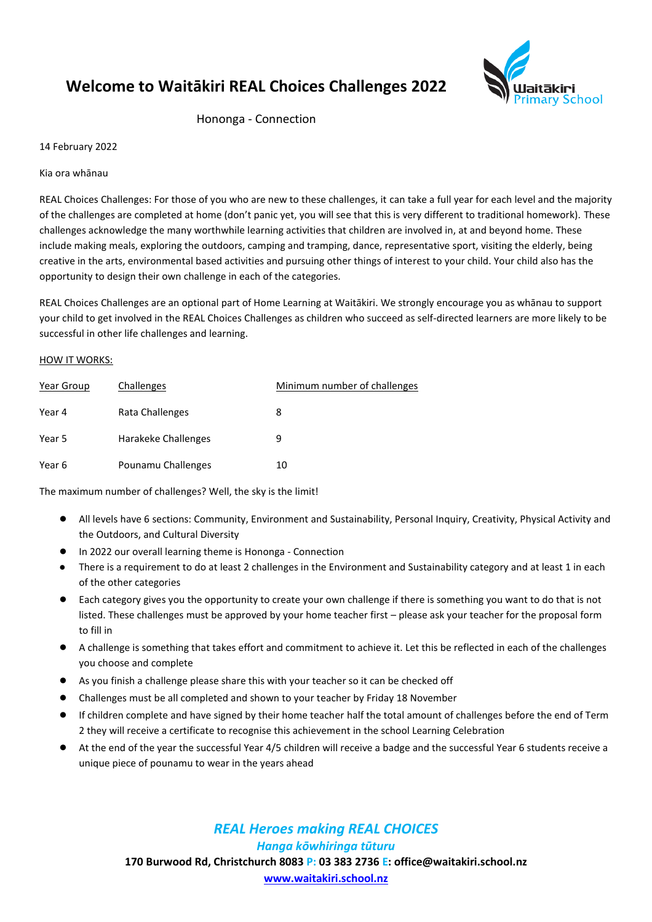# **Welcome to Waitākiri REAL Choices Challenges 2022**



Hononga - Connection

14 February 2022

Kia ora whānau

REAL Choices Challenges: For those of you who are new to these challenges, it can take a full year for each level and the majority of the challenges are completed at home (don't panic yet, you will see that this is very different to traditional homework). These challenges acknowledge the many worthwhile learning activities that children are involved in, at and beyond home. These include making meals, exploring the outdoors, camping and tramping, dance, representative sport, visiting the elderly, being creative in the arts, environmental based activities and pursuing other things of interest to your child. Your child also has the opportunity to design their own challenge in each of the categories.

REAL Choices Challenges are an optional part of Home Learning at Waitākiri. We strongly encourage you as whānau to support your child to get involved in the REAL Choices Challenges as children who succeed as self-directed learners are more likely to be successful in other life challenges and learning.

#### HOW IT WORKS:

| Year Group | Challenges          | Minimum number of challenges |
|------------|---------------------|------------------------------|
| Year 4     | Rata Challenges     | 8                            |
| Year 5     | Harakeke Challenges |                              |
| Year 6     | Pounamu Challenges  | 10                           |

The maximum number of challenges? Well, the sky is the limit!

- All levels have 6 sections: Community, Environment and Sustainability, Personal Inquiry, Creativity, Physical Activity and the Outdoors, and Cultural Diversity
- In 2022 our overall learning theme is Hononga Connection
- There is a requirement to do at least 2 challenges in the Environment and Sustainability category and at least 1 in each of the other categories
- Each category gives you the opportunity to create your own challenge if there is something you want to do that is not listed. These challenges must be approved by your home teacher first – please ask your teacher for the proposal form to fill in
- A challenge is something that takes effort and commitment to achieve it. Let this be reflected in each of the challenges you choose and complete
- As you finish a challenge please share this with your teacher so it can be checked off
- Challenges must be all completed and shown to your teacher by Friday 18 November
- If children complete and have signed by their home teacher half the total amount of challenges before the end of Term 2 they will receive a certificate to recognise this achievement in the school Learning Celebration
- At the end of the year the successful Year 4/5 children will receive a badge and the successful Year 6 students receive a unique piece of pounamu to wear in the years ahead

## *REAL Heroes making REAL CHOICES*

*Hanga kōwhiringa tūturu*

**170 Burwood Rd, Christchurch 8083 P: 03 383 2736 E[: office@waitakiri.school.nz](mailto:office@waitakiri.school.nz)**

**[www.waitakiri.school.nz](http://www.waitakiri.school.nz/)**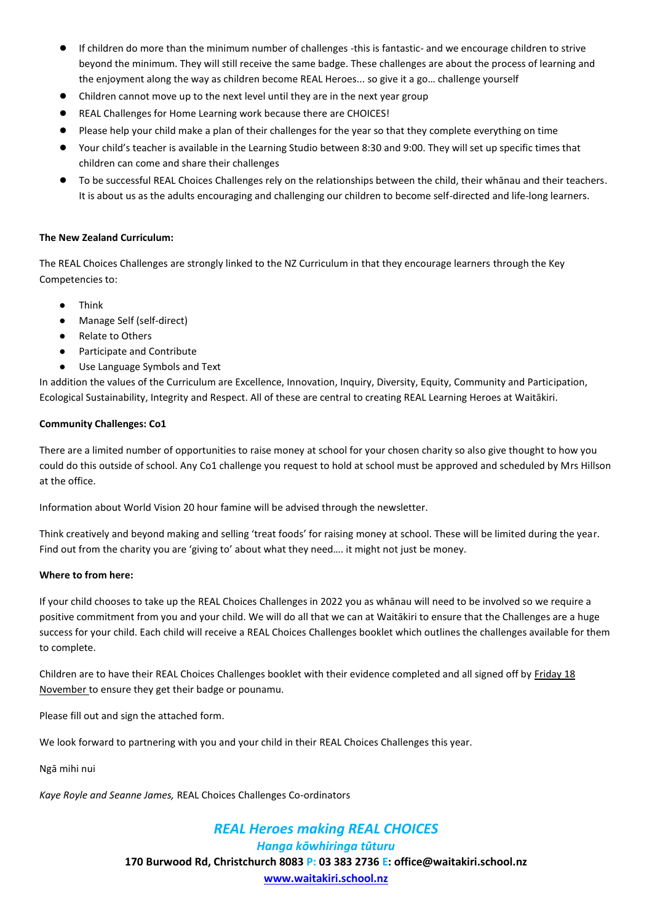- If children do more than the minimum number of challenges -this is fantastic- and we encourage children to strive beyond the minimum. They will still receive the same badge. These challenges are about the process of learning and the enjoyment along the way as children become REAL Heroes... so give it a go… challenge yourself
- Children cannot move up to the next level until they are in the next year group
- REAL Challenges for Home Learning work because there are CHOICES!
- Please help your child make a plan of their challenges for the year so that they complete everything on time
- Your child's teacher is available in the Learning Studio between 8:30 and 9:00. They will set up specific times that children can come and share their challenges
- To be successful REAL Choices Challenges rely on the relationships between the child, their whānau and their teachers. It is about us as the adults encouraging and challenging our children to become self-directed and life-long learners.

### **The New Zealand Curriculum:**

The REAL Choices Challenges are strongly linked to the NZ Curriculum in that they encourage learners through the Key Competencies to:

- **Think**
- Manage Self (self-direct)
- **Relate to Others**
- Participate and Contribute
- Use Language Symbols and Text

In addition the values of the Curriculum are Excellence, Innovation, Inquiry, Diversity, Equity, Community and Participation, Ecological Sustainability, Integrity and Respect. All of these are central to creating REAL Learning Heroes at Waitākiri.

### **Community Challenges: Co1**

There are a limited number of opportunities to raise money at school for your chosen charity so also give thought to how you could do this outside of school. Any Co1 challenge you request to hold at school must be approved and scheduled by Mrs Hillson at the office.

Information about World Vision 20 hour famine will be advised through the newsletter.

Think creatively and beyond making and selling 'treat foods' for raising money at school. These will be limited during the year. Find out from the charity you are 'giving to' about what they need…. it might not just be money.

#### **Where to from here:**

If your child chooses to take up the REAL Choices Challenges in 2022 you as whānau will need to be involved so we require a positive commitment from you and your child. We will do all that we can at Waitākiri to ensure that the Challenges are a huge success for your child. Each child will receive a REAL Choices Challenges booklet which outlines the challenges available for them to complete.

Children are to have their REAL Choices Challenges booklet with their evidence completed and all signed off by Friday 18 November to ensure they get their badge or pounamu.

Please fill out and sign the attached form.

We look forward to partnering with you and your child in their REAL Choices Challenges this year.

Ngā mihi nui

*Kaye Royle and Seanne James,* REAL Choices Challenges Co-ordinators

### *REAL Heroes making REAL CHOICES Hanga kōwhiringa tūturu* **170 Burwood Rd, Christchurch 8083 P: 03 383 2736 E[: office@waitakiri.school.nz](mailto:office@waitakiri.school.nz) [www.waitakiri.school.nz](http://www.waitakiri.school.nz/)**